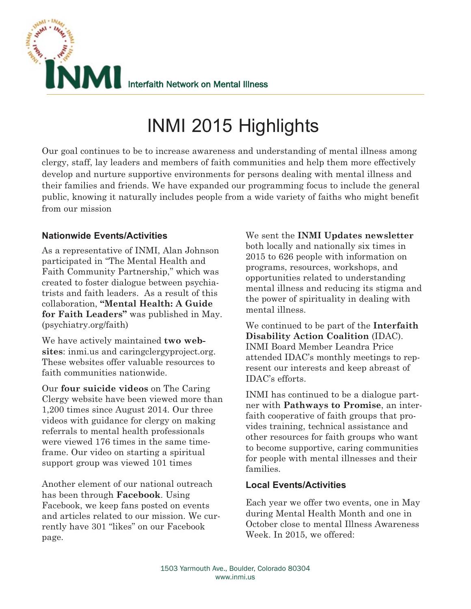

Our goal continues to be to increase awareness and understanding of mental illness among clergy, staff, lay leaders and members of faith communities and help them more effectively develop and nurture supportive environments for persons dealing with mental illness and their families and friends. We have expanded our programming focus to include the general public, knowing it naturally includes people from a wide variety of faiths who might benefit from our mission

# **Nationwide Events/Activities**

As a representative of INMI, Alan Johnson participated in "The Mental Health and Faith Community Partnership," which was created to foster dialogue between psychiatrists and faith leaders. As a result of this collaboration, **"Mental Health: A Guide for Faith Leaders"** was published in May. (psychiatry.org/faith)

We have actively maintained **two websites**: inmi.us and caringclergyproject.org. These websites offer valuable resources to faith communities nationwide.

Our **four suicide videos** on The Caring Clergy website have been viewed more than 1,200 times since August 2014. Our three videos with guidance for clergy on making referrals to mental health professionals were viewed 176 times in the same timeframe. Our video on starting a spiritual support group was viewed 101 times

Another element of our national outreach has been through **Facebook**. Using Facebook, we keep fans posted on events and articles related to our mission. We currently have 301 "likes" on our Facebook page.

We sent the **INMI Updates newsletter** both locally and nationally six times in 2015 to 626 people with information on programs, resources, workshops, and opportunities related to understanding mental illness and reducing its stigma and the power of spirituality in dealing with mental illness.

We continued to be part of the **Interfaith Disability Action Coalition** (IDAC). INMI Board Member Leandra Price attended IDAC's monthly meetings to represent our interests and keep abreast of IDAC's efforts.

INMI has continued to be a dialogue partner with **Pathways to Promise**, an interfaith cooperative of faith groups that provides training, technical assistance and other resources for faith groups who want to become supportive, caring communities for people with mental illnesses and their families.

## **Local Events/Activities**

Each year we offer two events, one in May during Mental Health Month and one in October close to mental Illness Awareness Week. In 2015, we offered: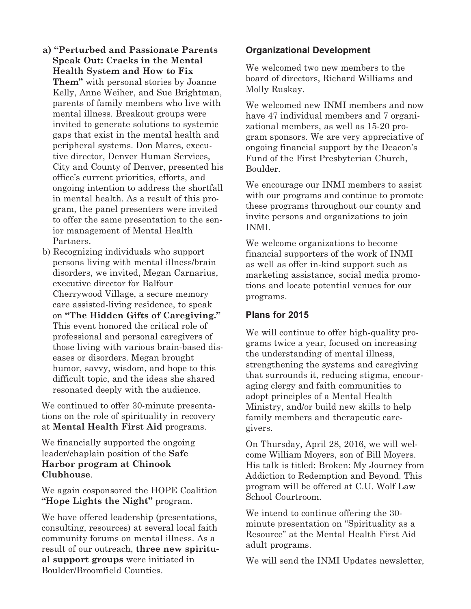- **a) "Perturbed and Passionate Parents Speak Out: Cracks in the Mental Health System and How to Fix Them"** with personal stories by Joanne Kelly, Anne Weiher, and Sue Brightman, parents of family members who live with mental illness. Breakout groups were invited to generate solutions to systemic gaps that exist in the mental health and peripheral systems. Don Mares, executive director, Denver Human Services, City and County of Denver, presented his office's current priorities, efforts, and ongoing intention to address the shortfall in mental health. As a result of this program, the panel presenters were invited to offer the same presentation to the senior management of Mental Health Partners.
- b) Recognizing individuals who support persons living with mental illness/brain disorders, we invited, Megan Carnarius, executive director for Balfour Cherrywood Village, a secure memory care assisted-living residence, to speak on **"The Hidden Gifts of Caregiving."** This event honored the critical role of professional and personal caregivers of those living with various brain-based diseases or disorders. Megan brought humor, savvy, wisdom, and hope to this difficult topic, and the ideas she shared resonated deeply with the audience.

We continued to offer 30-minute presentations on the role of spirituality in recovery at **Mental Health First Aid** programs.

We financially supported the ongoing leader/chaplain position of the **Safe Harbor program at Chinook Clubhouse**.

We again cosponsored the HOPE Coalition **"Hope Lights the Night"** program.

We have offered leadership (presentations, consulting, resources) at several local faith community forums on mental illness. As a result of our outreach, **three new spiritual support groups** were initiated in Boulder/Broomfield Counties.

### **Organizational Development**

We welcomed two new members to the board of directors, Richard Williams and Molly Ruskay.

We welcomed new INMI members and now have 47 individual members and 7 organizational members, as well as 15-20 program sponsors. We are very appreciative of ongoing financial support by the Deacon's Fund of the First Presbyterian Church, Boulder.

We encourage our INMI members to assist with our programs and continue to promote these programs throughout our county and invite persons and organizations to join INMI.

We welcome organizations to become financial supporters of the work of INMI as well as offer in-kind support such as marketing assistance, social media promotions and locate potential venues for our programs.

#### **Plans for 2015**

We will continue to offer high-quality programs twice a year, focused on increasing the understanding of mental illness, strengthening the systems and caregiving that surrounds it, reducing stigma, encouraging clergy and faith communities to adopt principles of a Mental Health Ministry, and/or build new skills to help family members and therapeutic caregivers.

On Thursday, April 28, 2016, we will welcome William Moyers, son of Bill Moyers. His talk is titled: Broken: My Journey from Addiction to Redemption and Beyond. This program will be offered at C.U. Wolf Law School Courtroom.

We intend to continue offering the 30 minute presentation on "Spirituality as a Resource" at the Mental Health First Aid adult programs.

We will send the INMI Updates newsletter,